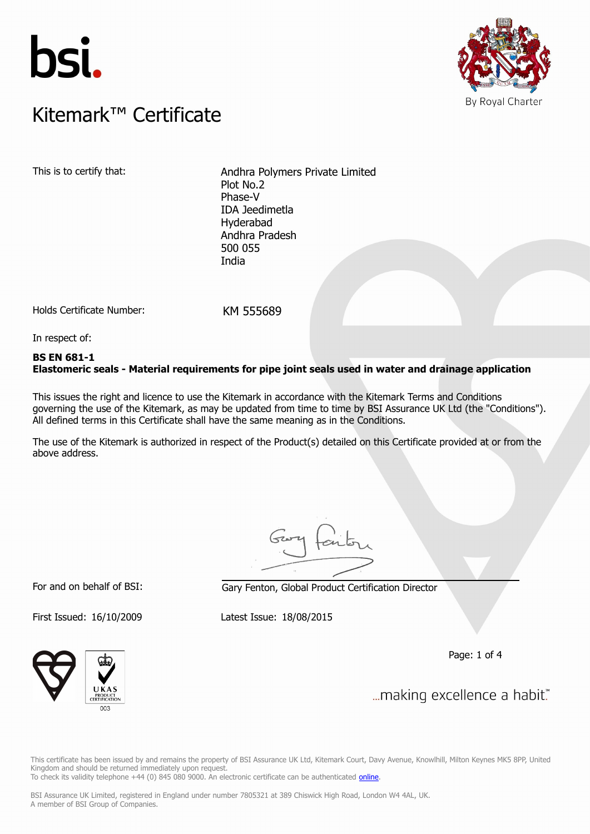



### $K$ itemark $W$  Certificate Kitemark™ Certificate

This is to certify that: Andhra Polymers Private Limited Plot No.2 Phase-V IDA Jeedimetla Hyderabad Andhra Pradesh 500 055 India

Holds Certificate Number: KM 555689

In respect of:

### **BS EN 681-1 Elastomeric seals - Material requirements for pipe joint seals used in water and drainage application**

This issues the right and licence to use the Kitemark in accordance with the Kitemark Terms and Conditions governing the use of the Kitemark, as may be updated from time to time by BSI Assurance UK Ltd (the "Conditions"). All defined terms in this Certificate shall have the same meaning as in the Conditions.

The use of the Kitemark is authorized in respect of the Product(s) detailed on this Certificate provided at or from the above address.

For and on behalf of BSI: Gary Fenton, Global Product Certification Director

First Issued: 16/10/2009 Latest Issue: 18/08/2015

Page: 1 of 4



... making excellence a habit."

This certificate has been issued by and remains the property of BSI Assurance UK Ltd, Kitemark Court, Davy Avenue, Knowlhill, Milton Keynes MK5 8PP, United Kingdom and should be returned immediately upon request. To check its validity telephone +44 (0) 845 080 9000. An electronic certificate can be authenticated *[online](https://pgplus.bsigroup.com/CertificateValidation/CertificateValidator.aspx?CertificateNumber=KM+555689&ReIssueDate=18%2f08%2f2015&Template=uk)*.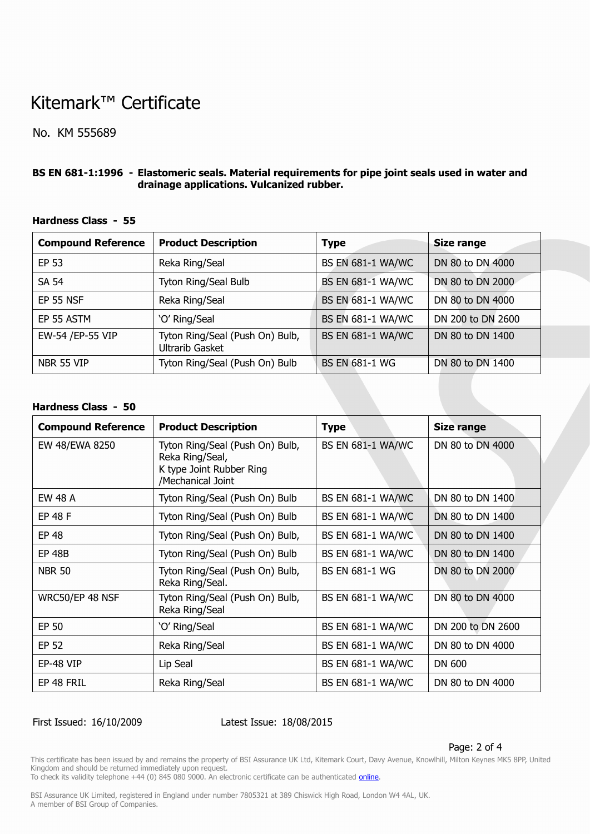# Kitemark™ Certificate

No. KM 555689

### **BS EN 681-1:1996 - Elastomeric seals. Material requirements for pipe joint seals used in water and drainage applications. Vulcanized rubber.**

| <b>Compound Reference</b> | <b>Product Description</b>                         | <b>Type</b>              | <b>Size range</b> |
|---------------------------|----------------------------------------------------|--------------------------|-------------------|
| EP 53                     | Reka Ring/Seal                                     | <b>BS EN 681-1 WA/WC</b> | DN 80 to DN 4000  |
| <b>SA 54</b>              | Tyton Ring/Seal Bulb                               | <b>BS EN 681-1 WA/WC</b> | DN 80 to DN 2000  |
| <b>EP 55 NSF</b>          | Reka Ring/Seal                                     | <b>BS EN 681-1 WA/WC</b> | DN 80 to DN 4000  |
| EP 55 ASTM                | 'O' Ring/Seal                                      | <b>BS EN 681-1 WA/WC</b> | DN 200 to DN 2600 |
| EW-54 /EP-55 VIP          | Tyton Ring/Seal (Push On) Bulb,<br>Ultrarib Gasket | <b>BS EN 681-1 WA/WC</b> | DN 80 to DN 1400  |
| NBR 55 VIP                | Tyton Ring/Seal (Push On) Bulb                     | <b>BS EN 681-1 WG</b>    | DN 80 to DN 1400  |

#### **Hardness Class - 55**

#### **Hardness Class - 50**

| <b>Compound Reference</b> | <b>Product Description</b>                                                                          | <b>Type</b>              | <b>Size range</b> |
|---------------------------|-----------------------------------------------------------------------------------------------------|--------------------------|-------------------|
| EW 48/EWA 8250            | Tyton Ring/Seal (Push On) Bulb,<br>Reka Ring/Seal,<br>K type Joint Rubber Ring<br>/Mechanical Joint | <b>BS EN 681-1 WA/WC</b> | DN 80 to DN 4000  |
| EW 48 A                   | Tyton Ring/Seal (Push On) Bulb                                                                      | <b>BS EN 681-1 WA/WC</b> | DN 80 to DN 1400  |
| <b>EP 48 F</b>            | Tyton Ring/Seal (Push On) Bulb                                                                      | <b>BS EN 681-1 WA/WC</b> | DN 80 to DN 1400  |
| EP 48                     | Tyton Ring/Seal (Push On) Bulb,                                                                     | <b>BS EN 681-1 WA/WC</b> | DN 80 to DN 1400  |
| <b>EP 48B</b>             | Tyton Ring/Seal (Push On) Bulb                                                                      | <b>BS EN 681-1 WA/WC</b> | DN 80 to DN 1400  |
| <b>NBR 50</b>             | Tyton Ring/Seal (Push On) Bulb,<br>Reka Ring/Seal.                                                  | <b>BS EN 681-1 WG</b>    | DN 80 to DN 2000  |
| WRC50/EP 48 NSF           | Tyton Ring/Seal (Push On) Bulb,<br>Reka Ring/Seal                                                   | <b>BS EN 681-1 WA/WC</b> | DN 80 to DN 4000  |
| EP 50                     | 'O' Ring/Seal                                                                                       | <b>BS EN 681-1 WA/WC</b> | DN 200 to DN 2600 |
| EP 52                     | Reka Ring/Seal                                                                                      | <b>BS EN 681-1 WA/WC</b> | DN 80 to DN 4000  |
| EP-48 VIP                 | Lip Seal                                                                                            | <b>BS EN 681-1 WA/WC</b> | DN 600            |
| EP 48 FRIL                | Reka Ring/Seal                                                                                      | <b>BS EN 681-1 WA/WC</b> | DN 80 to DN 4000  |

### First Issued: 16/10/2009 Latest Issue: 18/08/2015

#### Page: 2 of 4

This certificate has been issued by and remains the property of BSI Assurance UK Ltd, Kitemark Court, Davy Avenue, Knowlhill, Milton Keynes MK5 8PP, United Kingdom and should be returned immediately upon request.

To check its validity telephone +44 (0) 845 080 9000. An electronic certificate can be authenticated *[online](https://pgplus.bsigroup.com/CertificateValidation/CertificateValidator.aspx?CertificateNumber=KM+555689&ReIssueDate=18%2f08%2f2015&Template=uk)*.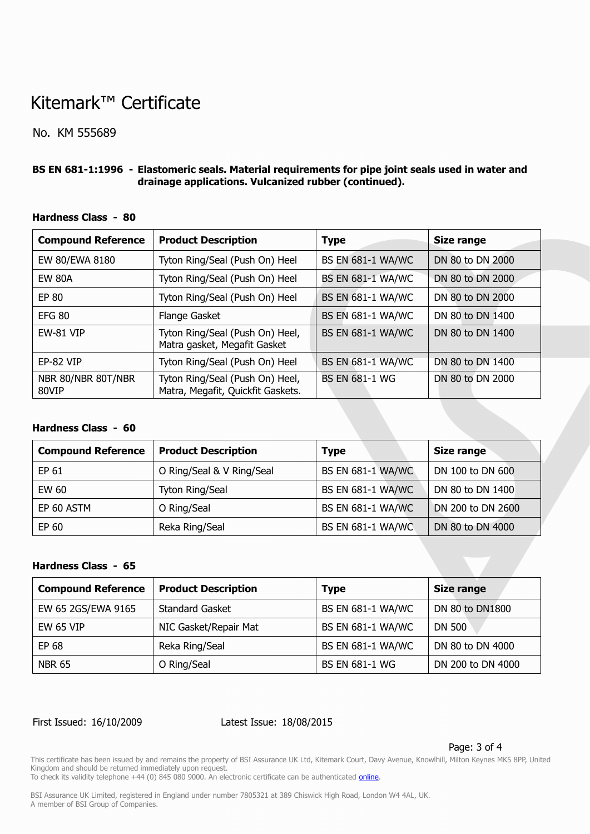# Kitemark™ Certificate

No. KM 555689

#### **BS EN 681-1:1996 - Elastomeric seals. Material requirements for pipe joint seals used in water and drainage applications. Vulcanized rubber (continued).**

| <b>Compound Reference</b>   | <b>Product Description</b>                                           | <b>Type</b>              | <b>Size range</b> |
|-----------------------------|----------------------------------------------------------------------|--------------------------|-------------------|
| EW 80/EWA 8180              | Tyton Ring/Seal (Push On) Heel                                       | <b>BS EN 681-1 WA/WC</b> | DN 80 to DN 2000  |
| <b>EW 80A</b>               | Tyton Ring/Seal (Push On) Heel                                       | <b>BS EN 681-1 WA/WC</b> | DN 80 to DN 2000  |
| <b>EP 80</b>                | Tyton Ring/Seal (Push On) Heel                                       | <b>BS EN 681-1 WA/WC</b> | DN 80 to DN 2000  |
| <b>EFG 80</b>               | Flange Gasket                                                        | <b>BS EN 681-1 WA/WC</b> | DN 80 to DN 1400  |
| EW-81 VIP                   | Tyton Ring/Seal (Push On) Heel,<br>Matra gasket, Megafit Gasket      | <b>BS EN 681-1 WA/WC</b> | DN 80 to DN 1400  |
| EP-82 VIP                   | Tyton Ring/Seal (Push On) Heel                                       | <b>BS EN 681-1 WA/WC</b> | DN 80 to DN 1400  |
| NBR 80/NBR 80T/NBR<br>80VIP | Tyton Ring/Seal (Push On) Heel,<br>Matra, Megafit, Quickfit Gaskets. | <b>BS EN 681-1 WG</b>    | DN 80 to DN 2000  |

#### **Hardness Class - 80**

#### **Hardness Class - 60**

| <b>Compound Reference</b> | <b>Product Description</b> | <b>Type</b>              | Size range        |
|---------------------------|----------------------------|--------------------------|-------------------|
| EP 61                     | O Ring/Seal & V Ring/Seal  | <b>BS EN 681-1 WA/WC</b> | DN 100 to DN 600  |
| EW 60                     | Tyton Ring/Seal            | <b>BS EN 681-1 WA/WC</b> | DN 80 to DN 1400  |
| EP 60 ASTM                | O Ring/Seal                | <b>BS EN 681-1 WA/WC</b> | DN 200 to DN 2600 |
| EP 60                     | Reka Ring/Seal             | <b>BS EN 681-1 WA/WC</b> | DN 80 to DN 4000  |

### **Hardness Class - 65**

| <b>Compound Reference</b> | <b>Product Description</b> | <b>Type</b>              | <b>Size range</b> |
|---------------------------|----------------------------|--------------------------|-------------------|
| EW 65 2GS/EWA 9165        | <b>Standard Gasket</b>     | <b>BS EN 681-1 WA/WC</b> | DN 80 to DN1800   |
| <b>EW 65 VIP</b>          | NIC Gasket/Repair Mat      | <b>BS EN 681-1 WA/WC</b> | DN 500            |
| EP 68                     | Reka Ring/Seal             | <b>BS EN 681-1 WA/WC</b> | DN 80 to DN 4000  |
| <b>NBR 65</b>             | O Ring/Seal                | <b>BS EN 681-1 WG</b>    | DN 200 to DN 4000 |

#### First Issued: 16/10/2009 Latest Issue: 18/08/2015

#### Page: 3 of 4

This certificate has been issued by and remains the property of BSI Assurance UK Ltd, Kitemark Court, Davy Avenue, Knowlhill, Milton Keynes MK5 8PP, United Kingdom and should be returned immediately upon request.

To check its validity telephone +44 (0) 845 080 9000. An electronic certificate can be authenticated *[online](https://pgplus.bsigroup.com/CertificateValidation/CertificateValidator.aspx?CertificateNumber=KM+555689&ReIssueDate=18%2f08%2f2015&Template=uk)*.